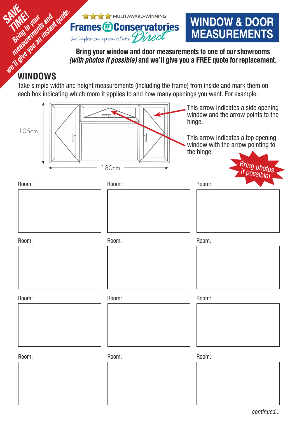

**WINDOW & DOOR MEASUREMENTS**

**Bring your window and door measurements to one of our showrooms**  *(with photos if possible)* **and we'll give you a FREE quote for replacement.**

## **WINDOWS**

Take simple width and height measurements (including the frame) from inside and mark them on each box indicating which room it applies to and how many openings you want. For example:

| 105cm<br>$\overline{\Gamma}$ | 180cm | This arrow indicates a side opening<br>window and the arrow points to the<br>hinge.<br>This arrow indicates a top opening<br>window with the arrow pointing to<br>the hinge.<br>Bring photos |
|------------------------------|-------|----------------------------------------------------------------------------------------------------------------------------------------------------------------------------------------------|
| Room:                        | Room: | Room:                                                                                                                                                                                        |
|                              |       |                                                                                                                                                                                              |
| Room:                        | Room: | Room:                                                                                                                                                                                        |
| Room:                        | Room: | Room:                                                                                                                                                                                        |
| Room:                        | Room: | Room:                                                                                                                                                                                        |